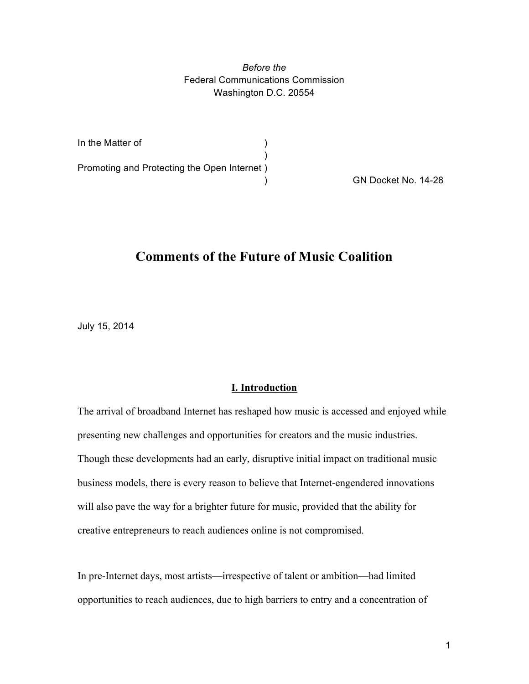*Before the* Federal Communications Commission Washington D.C. 20554

| In the Matter of                            |  |
|---------------------------------------------|--|
|                                             |  |
| Promoting and Protecting the Open Internet) |  |
|                                             |  |

) GN Docket No. 14-28

# **Comments of the Future of Music Coalition**

July 15, 2014

### **I. Introduction**

The arrival of broadband Internet has reshaped how music is accessed and enjoyed while presenting new challenges and opportunities for creators and the music industries. Though these developments had an early, disruptive initial impact on traditional music business models, there is every reason to believe that Internet-engendered innovations will also pave the way for a brighter future for music, provided that the ability for creative entrepreneurs to reach audiences online is not compromised.

In pre-Internet days, most artists—irrespective of talent or ambition—had limited opportunities to reach audiences, due to high barriers to entry and a concentration of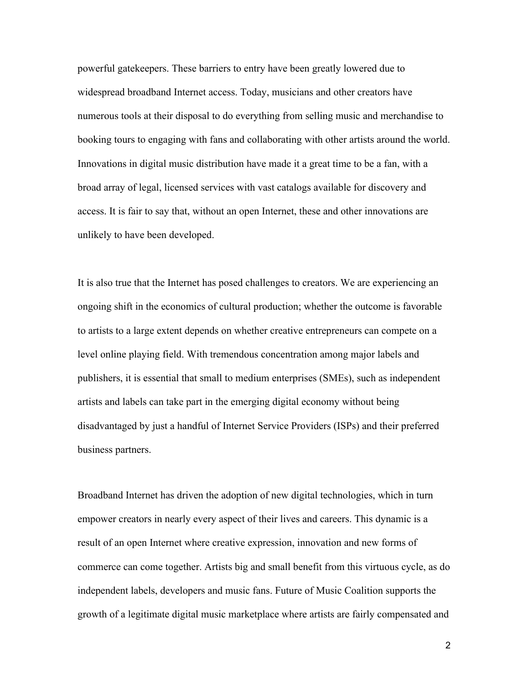powerful gatekeepers. These barriers to entry have been greatly lowered due to widespread broadband Internet access. Today, musicians and other creators have numerous tools at their disposal to do everything from selling music and merchandise to booking tours to engaging with fans and collaborating with other artists around the world. Innovations in digital music distribution have made it a great time to be a fan, with a broad array of legal, licensed services with vast catalogs available for discovery and access. It is fair to say that, without an open Internet, these and other innovations are unlikely to have been developed.

It is also true that the Internet has posed challenges to creators. We are experiencing an ongoing shift in the economics of cultural production; whether the outcome is favorable to artists to a large extent depends on whether creative entrepreneurs can compete on a level online playing field. With tremendous concentration among major labels and publishers, it is essential that small to medium enterprises (SMEs), such as independent artists and labels can take part in the emerging digital economy without being disadvantaged by just a handful of Internet Service Providers (ISPs) and their preferred business partners.

Broadband Internet has driven the adoption of new digital technologies, which in turn empower creators in nearly every aspect of their lives and careers. This dynamic is a result of an open Internet where creative expression, innovation and new forms of commerce can come together. Artists big and small benefit from this virtuous cycle, as do independent labels, developers and music fans. Future of Music Coalition supports the growth of a legitimate digital music marketplace where artists are fairly compensated and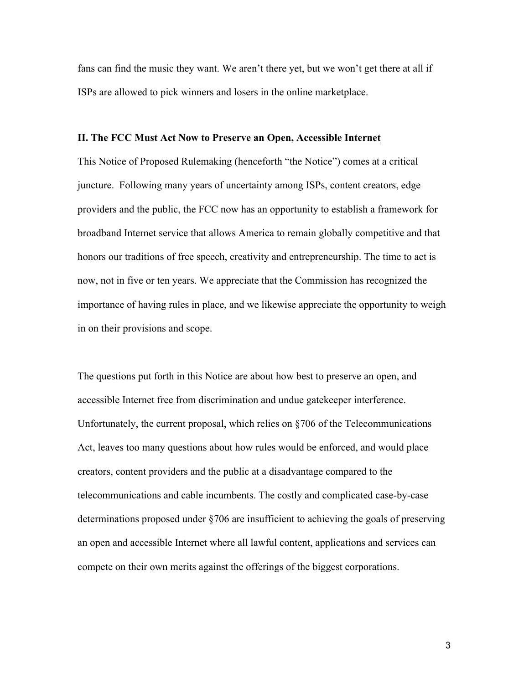fans can find the music they want. We aren't there yet, but we won't get there at all if ISPs are allowed to pick winners and losers in the online marketplace.

# **II. The FCC Must Act Now to Preserve an Open, Accessible Internet**

This Notice of Proposed Rulemaking (henceforth "the Notice") comes at a critical juncture. Following many years of uncertainty among ISPs, content creators, edge providers and the public, the FCC now has an opportunity to establish a framework for broadband Internet service that allows America to remain globally competitive and that honors our traditions of free speech, creativity and entrepreneurship. The time to act is now, not in five or ten years. We appreciate that the Commission has recognized the importance of having rules in place, and we likewise appreciate the opportunity to weigh in on their provisions and scope.

The questions put forth in this Notice are about how best to preserve an open, and accessible Internet free from discrimination and undue gatekeeper interference. Unfortunately, the current proposal, which relies on §706 of the Telecommunications Act, leaves too many questions about how rules would be enforced, and would place creators, content providers and the public at a disadvantage compared to the telecommunications and cable incumbents. The costly and complicated case-by-case determinations proposed under §706 are insufficient to achieving the goals of preserving an open and accessible Internet where all lawful content, applications and services can compete on their own merits against the offerings of the biggest corporations.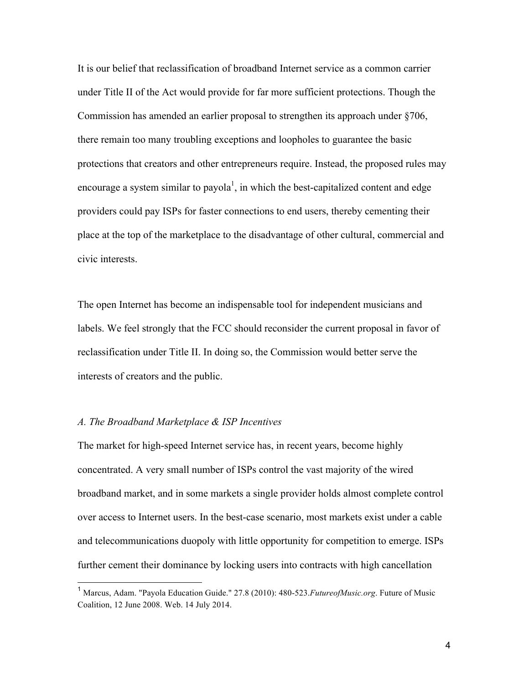It is our belief that reclassification of broadband Internet service as a common carrier under Title II of the Act would provide for far more sufficient protections. Though the Commission has amended an earlier proposal to strengthen its approach under §706, there remain too many troubling exceptions and loopholes to guarantee the basic protections that creators and other entrepreneurs require. Instead, the proposed rules may encourage a system similar to payola<sup>1</sup>, in which the best-capitalized content and edge providers could pay ISPs for faster connections to end users, thereby cementing their place at the top of the marketplace to the disadvantage of other cultural, commercial and civic interests.

The open Internet has become an indispensable tool for independent musicians and labels. We feel strongly that the FCC should reconsider the current proposal in favor of reclassification under Title II. In doing so, the Commission would better serve the interests of creators and the public.

#### *A. The Broadband Marketplace & ISP Incentives*

The market for high-speed Internet service has, in recent years, become highly concentrated. A very small number of ISPs control the vast majority of the wired broadband market, and in some markets a single provider holds almost complete control over access to Internet users. In the best-case scenario, most markets exist under a cable and telecommunications duopoly with little opportunity for competition to emerge. ISPs further cement their dominance by locking users into contracts with high cancellation

 <sup>1</sup> Marcus, Adam. "Payola Education Guide." 27.8 (2010): 480-523.*FutureofMusic.org*. Future of Music Coalition, 12 June 2008. Web. 14 July 2014.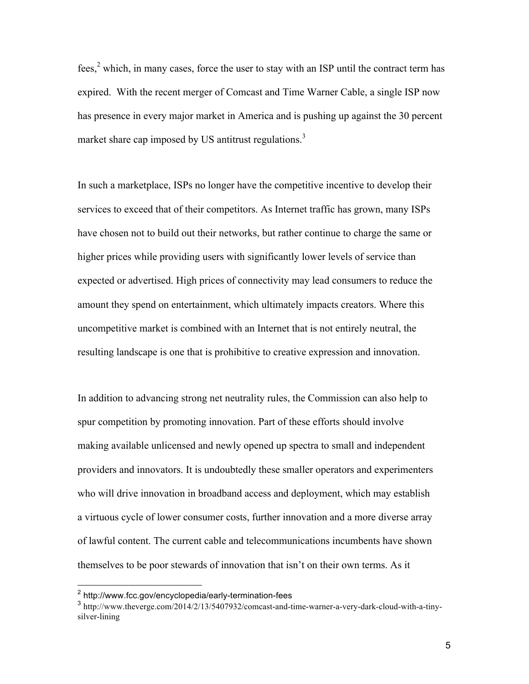fees,<sup>2</sup> which, in many cases, force the user to stay with an ISP until the contract term has expired. With the recent merger of Comcast and Time Warner Cable, a single ISP now has presence in every major market in America and is pushing up against the 30 percent market share cap imposed by US antitrust regulations.<sup>3</sup>

In such a marketplace, ISPs no longer have the competitive incentive to develop their services to exceed that of their competitors. As Internet traffic has grown, many ISPs have chosen not to build out their networks, but rather continue to charge the same or higher prices while providing users with significantly lower levels of service than expected or advertised. High prices of connectivity may lead consumers to reduce the amount they spend on entertainment, which ultimately impacts creators. Where this uncompetitive market is combined with an Internet that is not entirely neutral, the resulting landscape is one that is prohibitive to creative expression and innovation.

In addition to advancing strong net neutrality rules, the Commission can also help to spur competition by promoting innovation. Part of these efforts should involve making available unlicensed and newly opened up spectra to small and independent providers and innovators. It is undoubtedly these smaller operators and experimenters who will drive innovation in broadband access and deployment, which may establish a virtuous cycle of lower consumer costs, further innovation and a more diverse array of lawful content. The current cable and telecommunications incumbents have shown themselves to be poor stewards of innovation that isn't on their own terms. As it

 <sup>2</sup> http://www.fcc.gov/encyclopedia/early-termination-fees

<sup>&</sup>lt;sup>3</sup> http://www.theverge.com/2014/2/13/5407932/comcast-and-time-warner-a-very-dark-cloud-with-a-tinysilver-lining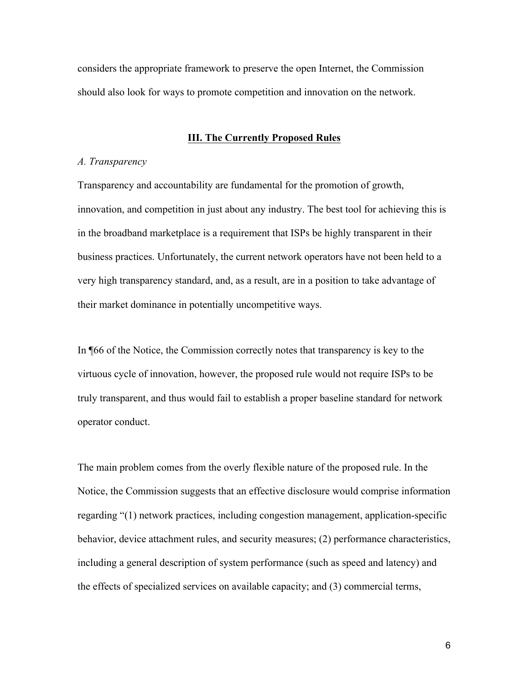considers the appropriate framework to preserve the open Internet, the Commission should also look for ways to promote competition and innovation on the network.

# **III. The Currently Proposed Rules**

#### *A. Transparency*

Transparency and accountability are fundamental for the promotion of growth, innovation, and competition in just about any industry. The best tool for achieving this is in the broadband marketplace is a requirement that ISPs be highly transparent in their business practices. Unfortunately, the current network operators have not been held to a very high transparency standard, and, as a result, are in a position to take advantage of their market dominance in potentially uncompetitive ways.

In ¶66 of the Notice, the Commission correctly notes that transparency is key to the virtuous cycle of innovation, however, the proposed rule would not require ISPs to be truly transparent, and thus would fail to establish a proper baseline standard for network operator conduct.

The main problem comes from the overly flexible nature of the proposed rule. In the Notice, the Commission suggests that an effective disclosure would comprise information regarding "(1) network practices, including congestion management, application-specific behavior, device attachment rules, and security measures; (2) performance characteristics, including a general description of system performance (such as speed and latency) and the effects of specialized services on available capacity; and (3) commercial terms,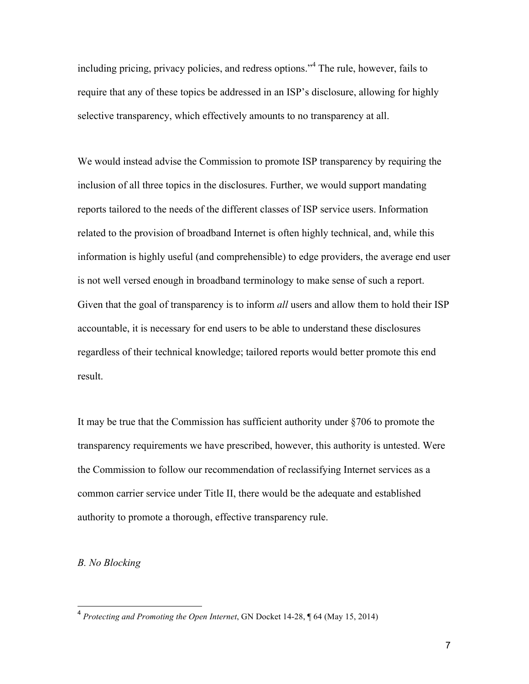including pricing, privacy policies, and redress options."<sup>4</sup> The rule, however, fails to require that any of these topics be addressed in an ISP's disclosure, allowing for highly selective transparency, which effectively amounts to no transparency at all.

We would instead advise the Commission to promote ISP transparency by requiring the inclusion of all three topics in the disclosures. Further, we would support mandating reports tailored to the needs of the different classes of ISP service users. Information related to the provision of broadband Internet is often highly technical, and, while this information is highly useful (and comprehensible) to edge providers, the average end user is not well versed enough in broadband terminology to make sense of such a report. Given that the goal of transparency is to inform *all* users and allow them to hold their ISP accountable, it is necessary for end users to be able to understand these disclosures regardless of their technical knowledge; tailored reports would better promote this end result.

It may be true that the Commission has sufficient authority under §706 to promote the transparency requirements we have prescribed, however, this authority is untested. Were the Commission to follow our recommendation of reclassifying Internet services as a common carrier service under Title II, there would be the adequate and established authority to promote a thorough, effective transparency rule.

# *B. No Blocking*

 <sup>4</sup> *Protecting and Promoting the Open Internet*, GN Docket 14-28, ¶ 64 (May 15, 2014)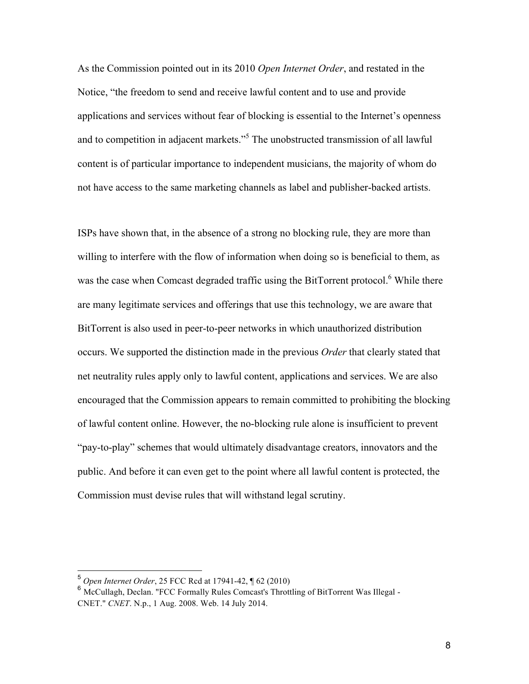As the Commission pointed out in its 2010 *Open Internet Order*, and restated in the Notice, "the freedom to send and receive lawful content and to use and provide applications and services without fear of blocking is essential to the Internet's openness and to competition in adjacent markets."<sup>5</sup> The unobstructed transmission of all lawful content is of particular importance to independent musicians, the majority of whom do not have access to the same marketing channels as label and publisher-backed artists.

ISPs have shown that, in the absence of a strong no blocking rule, they are more than willing to interfere with the flow of information when doing so is beneficial to them, as was the case when Comcast degraded traffic using the BitTorrent protocol.<sup>6</sup> While there are many legitimate services and offerings that use this technology, we are aware that BitTorrent is also used in peer-to-peer networks in which unauthorized distribution occurs. We supported the distinction made in the previous *Order* that clearly stated that net neutrality rules apply only to lawful content, applications and services. We are also encouraged that the Commission appears to remain committed to prohibiting the blocking of lawful content online. However, the no-blocking rule alone is insufficient to prevent "pay-to-play" schemes that would ultimately disadvantage creators, innovators and the public. And before it can even get to the point where all lawful content is protected, the Commission must devise rules that will withstand legal scrutiny.

 <sup>5</sup> *Open Internet Order*, 25 FCC Rcd at 17941-42, ¶ 62 (2010)

<sup>&</sup>lt;sup>6</sup> McCullagh, Declan. "FCC Formally Rules Comcast's Throttling of BitTorrent Was Illegal -CNET." *CNET*. N.p., 1 Aug. 2008. Web. 14 July 2014.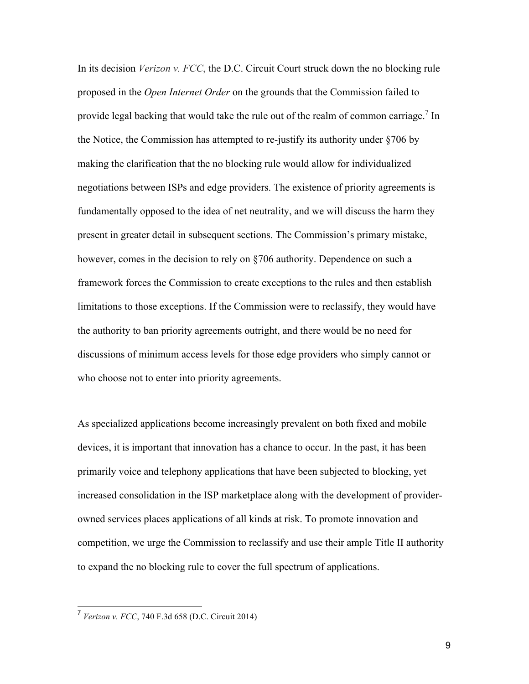In its decision *Verizon v. FCC*, the D.C. Circuit Court struck down the no blocking rule proposed in the *Open Internet Order* on the grounds that the Commission failed to provide legal backing that would take the rule out of the realm of common carriage.<sup>7</sup> In the Notice, the Commission has attempted to re-justify its authority under §706 by making the clarification that the no blocking rule would allow for individualized negotiations between ISPs and edge providers. The existence of priority agreements is fundamentally opposed to the idea of net neutrality, and we will discuss the harm they present in greater detail in subsequent sections. The Commission's primary mistake, however, comes in the decision to rely on §706 authority. Dependence on such a framework forces the Commission to create exceptions to the rules and then establish limitations to those exceptions. If the Commission were to reclassify, they would have the authority to ban priority agreements outright, and there would be no need for discussions of minimum access levels for those edge providers who simply cannot or who choose not to enter into priority agreements.

As specialized applications become increasingly prevalent on both fixed and mobile devices, it is important that innovation has a chance to occur. In the past, it has been primarily voice and telephony applications that have been subjected to blocking, yet increased consolidation in the ISP marketplace along with the development of providerowned services places applications of all kinds at risk. To promote innovation and competition, we urge the Commission to reclassify and use their ample Title II authority to expand the no blocking rule to cover the full spectrum of applications.

 <sup>7</sup> *Verizon v. FCC*, 740 F.3d 658 (D.C. Circuit 2014)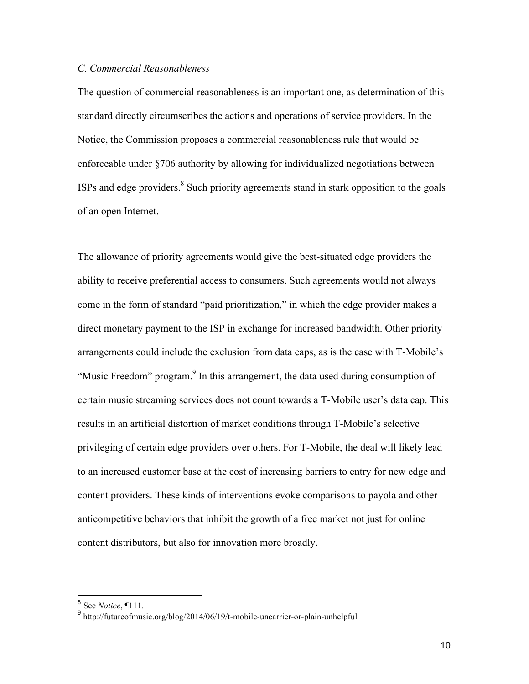# *C. Commercial Reasonableness*

The question of commercial reasonableness is an important one, as determination of this standard directly circumscribes the actions and operations of service providers. In the Notice, the Commission proposes a commercial reasonableness rule that would be enforceable under §706 authority by allowing for individualized negotiations between ISPs and edge providers.8 Such priority agreements stand in stark opposition to the goals of an open Internet.

The allowance of priority agreements would give the best-situated edge providers the ability to receive preferential access to consumers. Such agreements would not always come in the form of standard "paid prioritization," in which the edge provider makes a direct monetary payment to the ISP in exchange for increased bandwidth. Other priority arrangements could include the exclusion from data caps, as is the case with T-Mobile's "Music Freedom" program.<sup>9</sup> In this arrangement, the data used during consumption of certain music streaming services does not count towards a T-Mobile user's data cap. This results in an artificial distortion of market conditions through T-Mobile's selective privileging of certain edge providers over others. For T-Mobile, the deal will likely lead to an increased customer base at the cost of increasing barriers to entry for new edge and content providers. These kinds of interventions evoke comparisons to payola and other anticompetitive behaviors that inhibit the growth of a free market not just for online content distributors, but also for innovation more broadly.

 <sup>8</sup> See *Notice*, ¶111.

<sup>9</sup> bec *it time*,  $\int_a^{\pi}$  http://futureofmusic.org/blog/2014/06/19/t-mobile-uncarrier-or-plain-unhelpful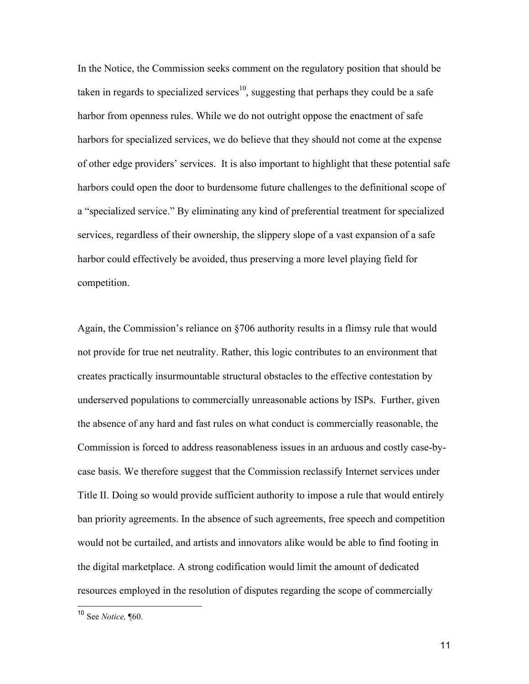In the Notice, the Commission seeks comment on the regulatory position that should be taken in regards to specialized services<sup>10</sup>, suggesting that perhaps they could be a safe harbor from openness rules. While we do not outright oppose the enactment of safe harbors for specialized services, we do believe that they should not come at the expense of other edge providers' services. It is also important to highlight that these potential safe harbors could open the door to burdensome future challenges to the definitional scope of a "specialized service." By eliminating any kind of preferential treatment for specialized services, regardless of their ownership, the slippery slope of a vast expansion of a safe harbor could effectively be avoided, thus preserving a more level playing field for competition.

Again, the Commission's reliance on §706 authority results in a flimsy rule that would not provide for true net neutrality. Rather, this logic contributes to an environment that creates practically insurmountable structural obstacles to the effective contestation by underserved populations to commercially unreasonable actions by ISPs. Further, given the absence of any hard and fast rules on what conduct is commercially reasonable, the Commission is forced to address reasonableness issues in an arduous and costly case-bycase basis. We therefore suggest that the Commission reclassify Internet services under Title II. Doing so would provide sufficient authority to impose a rule that would entirely ban priority agreements. In the absence of such agreements, free speech and competition would not be curtailed, and artists and innovators alike would be able to find footing in the digital marketplace. A strong codification would limit the amount of dedicated resources employed in the resolution of disputes regarding the scope of commercially

 <sup>10</sup> See *Notice,* ¶60.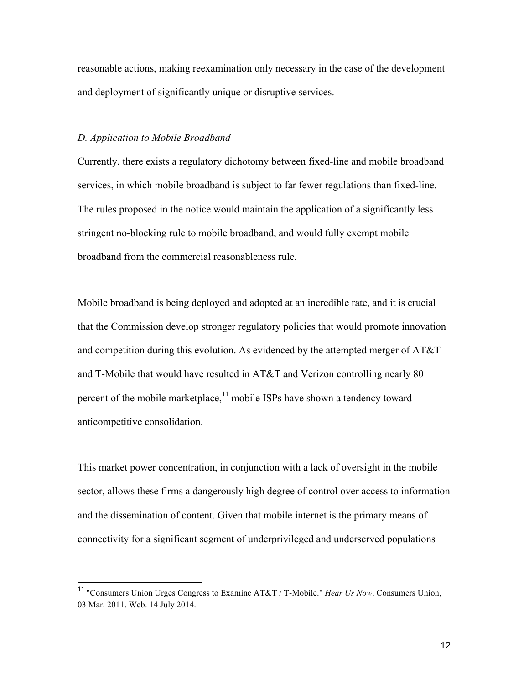reasonable actions, making reexamination only necessary in the case of the development and deployment of significantly unique or disruptive services.

#### *D. Application to Mobile Broadband*

Currently, there exists a regulatory dichotomy between fixed-line and mobile broadband services, in which mobile broadband is subject to far fewer regulations than fixed-line. The rules proposed in the notice would maintain the application of a significantly less stringent no-blocking rule to mobile broadband, and would fully exempt mobile broadband from the commercial reasonableness rule.

Mobile broadband is being deployed and adopted at an incredible rate, and it is crucial that the Commission develop stronger regulatory policies that would promote innovation and competition during this evolution. As evidenced by the attempted merger of AT&T and T-Mobile that would have resulted in AT&T and Verizon controlling nearly 80 percent of the mobile marketplace, $11$  mobile ISPs have shown a tendency toward anticompetitive consolidation.

This market power concentration, in conjunction with a lack of oversight in the mobile sector, allows these firms a dangerously high degree of control over access to information and the dissemination of content. Given that mobile internet is the primary means of connectivity for a significant segment of underprivileged and underserved populations

 <sup>11</sup> "Consumers Union Urges Congress to Examine AT&T / T-Mobile." *Hear Us Now*. Consumers Union, 03 Mar. 2011. Web. 14 July 2014.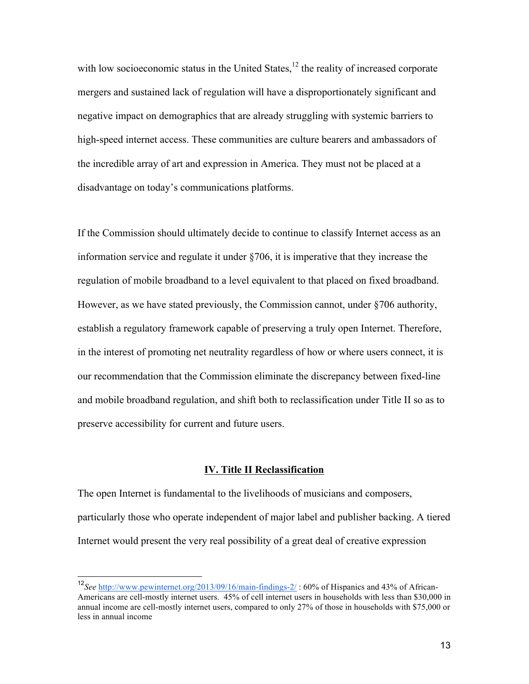with low socioeconomic status in the United States, $12$  the reality of increased corporate mergers and sustained lack of regulation will have a disproportionately significant and negative impact on demographics that are already struggling with systemic barriers to high-speed internet access. These communities are culture bearers and ambassadors of the incredible array of art and expression in America. They must not be placed at a disadvantage on today's communications platforms.

If the Commission should ultimately decide to continue to classify Internet access as an information service and regulate it under §706, it is imperative that they increase the regulation of mobile broadband to a level equivalent to that placed on fixed broadband. However, as we have stated previously, the Commission cannot, under §706 authority, establish a regulatory framework capable of preserving a truly open Internet. Therefore, in the interest of promoting net neutrality regardless of how or where users connect, it is our recommendation that the Commission eliminate the discrepancy between fixed-line and mobile broadband regulation, and shift both to reclassification under Title II so as to preserve accessibility for current and future users.

#### **IV. Title II Reclassification**

The open Internet is fundamental to the livelihoods of musicians and composers, particularly those who operate independent of major label and publisher backing. A tiered Internet would present the very real possibility of a great deal of creative expression

 <sup>12</sup>*See* http://www.pewinternet.org/2013/09/16/main-findings-2/ : 60% of Hispanics and 43% of African-Americans are cell-mostly internet users. 45% of cell internet users in households with less than \$30,000 in annual income are cell-mostly internet users, compared to only 27% of those in households with \$75,000 or less in annual income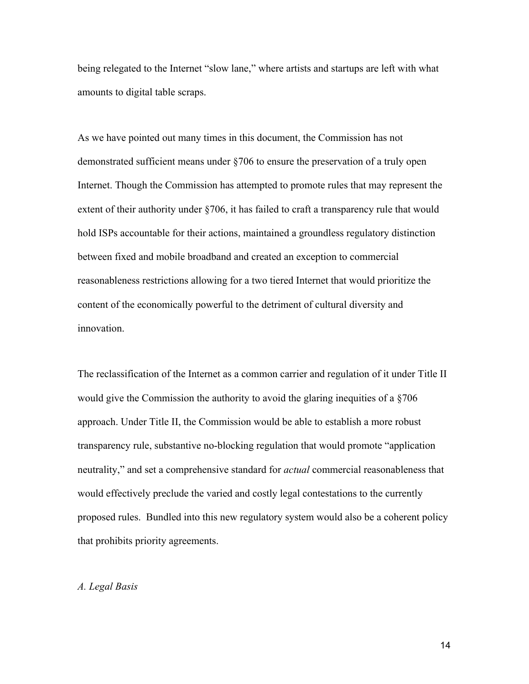being relegated to the Internet "slow lane," where artists and startups are left with what amounts to digital table scraps.

As we have pointed out many times in this document, the Commission has not demonstrated sufficient means under §706 to ensure the preservation of a truly open Internet. Though the Commission has attempted to promote rules that may represent the extent of their authority under §706, it has failed to craft a transparency rule that would hold ISPs accountable for their actions, maintained a groundless regulatory distinction between fixed and mobile broadband and created an exception to commercial reasonableness restrictions allowing for a two tiered Internet that would prioritize the content of the economically powerful to the detriment of cultural diversity and innovation.

The reclassification of the Internet as a common carrier and regulation of it under Title II would give the Commission the authority to avoid the glaring inequities of a §706 approach. Under Title II, the Commission would be able to establish a more robust transparency rule, substantive no-blocking regulation that would promote "application neutrality," and set a comprehensive standard for *actual* commercial reasonableness that would effectively preclude the varied and costly legal contestations to the currently proposed rules. Bundled into this new regulatory system would also be a coherent policy that prohibits priority agreements.

# *A. Legal Basis*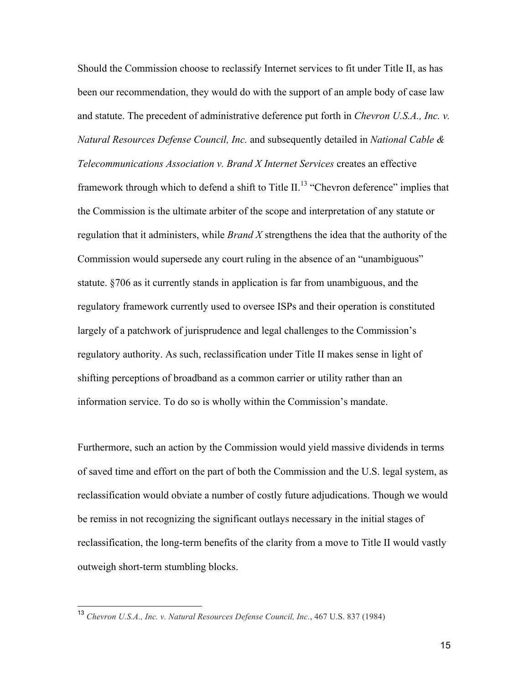Should the Commission choose to reclassify Internet services to fit under Title II, as has been our recommendation, they would do with the support of an ample body of case law and statute. The precedent of administrative deference put forth in *Chevron U.S.A., Inc. v. Natural Resources Defense Council, Inc.* and subsequently detailed in *National Cable & Telecommunications Association v. Brand X Internet Services* creates an effective framework through which to defend a shift to Title II.<sup>13</sup> "Chevron deference" implies that the Commission is the ultimate arbiter of the scope and interpretation of any statute or regulation that it administers, while *Brand X* strengthens the idea that the authority of the Commission would supersede any court ruling in the absence of an "unambiguous" statute. §706 as it currently stands in application is far from unambiguous, and the regulatory framework currently used to oversee ISPs and their operation is constituted largely of a patchwork of jurisprudence and legal challenges to the Commission's regulatory authority. As such, reclassification under Title II makes sense in light of shifting perceptions of broadband as a common carrier or utility rather than an information service. To do so is wholly within the Commission's mandate.

Furthermore, such an action by the Commission would yield massive dividends in terms of saved time and effort on the part of both the Commission and the U.S. legal system, as reclassification would obviate a number of costly future adjudications. Though we would be remiss in not recognizing the significant outlays necessary in the initial stages of reclassification, the long-term benefits of the clarity from a move to Title II would vastly outweigh short-term stumbling blocks.

 <sup>13</sup> *Chevron U.S.A., Inc. v. Natural Resources Defense Council, Inc.*, 467 U.S. 837 (1984)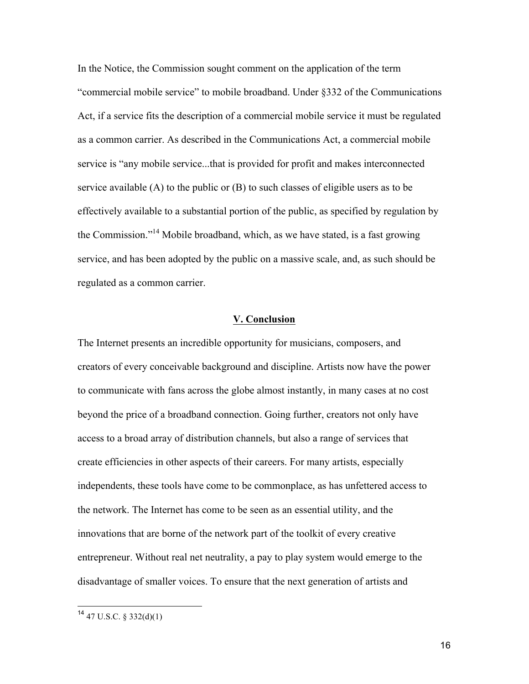In the Notice, the Commission sought comment on the application of the term "commercial mobile service" to mobile broadband. Under §332 of the Communications Act, if a service fits the description of a commercial mobile service it must be regulated as a common carrier. As described in the Communications Act, a commercial mobile service is "any mobile service...that is provided for profit and makes interconnected service available (A) to the public or (B) to such classes of eligible users as to be effectively available to a substantial portion of the public, as specified by regulation by the Commission."14 Mobile broadband, which, as we have stated, is a fast growing service, and has been adopted by the public on a massive scale, and, as such should be regulated as a common carrier.

#### **V. Conclusion**

The Internet presents an incredible opportunity for musicians, composers, and creators of every conceivable background and discipline. Artists now have the power to communicate with fans across the globe almost instantly, in many cases at no cost beyond the price of a broadband connection. Going further, creators not only have access to a broad array of distribution channels, but also a range of services that create efficiencies in other aspects of their careers. For many artists, especially independents, these tools have come to be commonplace, as has unfettered access to the network. The Internet has come to be seen as an essential utility, and the innovations that are borne of the network part of the toolkit of every creative entrepreneur. Without real net neutrality, a pay to play system would emerge to the disadvantage of smaller voices. To ensure that the next generation of artists and

 $14$  47 U.S.C. § 332(d)(1)